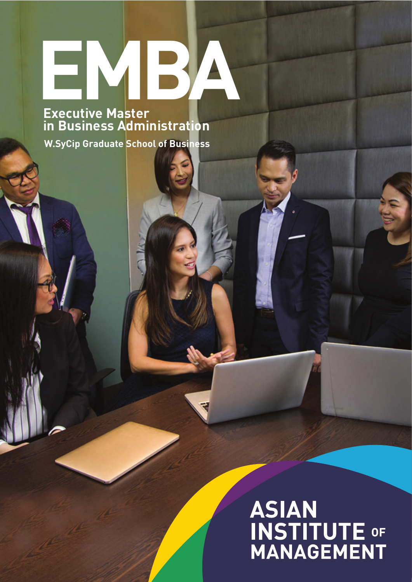# **Executive Mactor**

**Executive Master in Business Administration**

**W.SyCip Graduate School of Business**

## **ASIAN<br>INSTITUTE OF<br>MANAGEMENT**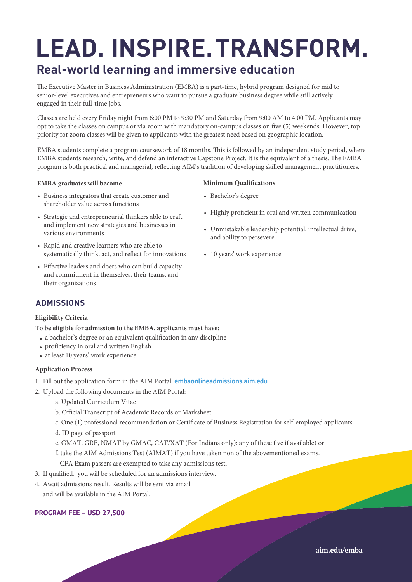### **LEAD. INSPIRE. TRANSFORM.**

#### **Real-world learning and immersive education**

The Executive Master in Business Administration (EMBA) is a part-time, hybrid program designed for mid to senior-level executives and entrepreneurs who want to pursue a graduate business degree while still actively engaged in their full-time jobs.

Classes are held every Friday night from 6:00 PM to 9:30 PM and Saturday from 9:00 AM to 4:00 PM. Applicants may opt to take the classes on campus or via zoom with mandatory on-campus classes on five (5) weekends. However, top priority for zoom classes will be given to applicants with the greatest need based on geographic location.

EMBA students complete a program coursework of 18 months. This is followed by an independent study period, where EMBA students research, write, and defend an interactive Capstone Project. It is the equivalent of a thesis. The EMBA program is both practical and managerial, reflecting AIM's tradition of developing skilled management practitioners.

#### **EMBA graduates will become**

- Business integrators that create customer and shareholder value across functions
- Strategic and entrepreneurial thinkers able to craft and implement new strategies and businesses in various environments
- Rapid and creative learners who are able to systematically think, act, and reflect for innovations
- Effective leaders and doers who can build capacity and commitment in themselves, their teams, and their organizations

#### **Minimum Qualifications**

- Bachelor's degree
- Highly proficient in oral and written communication
- Unmistakable leadership potential, intellectual drive, and ability to persevere
- 10 years' work experience •

#### **ADMISSIONS**

#### **Eligibility Criteria**

#### **To be eligible for admission to the EMBA, applicants must have:**

- a bachelor's degree or an equivalent qualification in any discipline
- proficiency in oral and written English
- at least 10 years' work experience.

#### **Application Process**

- 1. Fill out the application form in the AIM Portal: **embaonlineadmissions.aim.edu**
- 2. Upload the following documents in the AIM Portal:
	- a. Updated Curriculum Vitae
	- b. Official Transcript of Academic Records or Marksheet
	- c. One (1) professional recommendation or Certificate of Business Registration for self-employed applicants
	- d. ID page of passport
	- e. GMAT, GRE, NMAT by GMAC, CAT/XAT (For Indians only): any of these five if available) or
	- f. take the AIM Admissions Test (AIMAT) if you have taken non of the abovementioned exams.
		- CFA Exam passers are exempted to take any admissions test.
- 3. If qualified, you will be scheduled for an admissions interview.
- 4. Await admissions result. Results will be sent via email and will be available in the AIM Portal.
- 

#### **PROGRAM FEE – USD 27,500**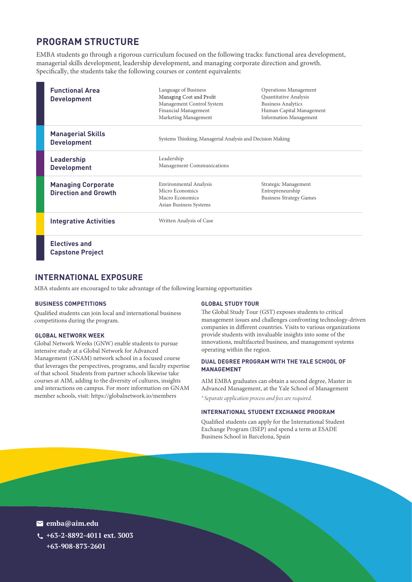#### **PROGRAM STRUCTURE**

EMBA students go through a rigorous curriculum focused on the following tracks: functional area development, managerial skills development, leadership development, and managing corporate direction and growth. Specifically, the students take the following courses or content equivalents:

| <b>Functional Area</b><br><b>Development</b>             | Language of Business<br>Managing Cost and Profit<br>Management Control System<br>Financial Management<br>Marketing Management | <b>Operations Management</b><br>Quantitative Analysis<br><b>Business Analytics</b><br>Human Capital Management<br><b>Information Management</b> |
|----------------------------------------------------------|-------------------------------------------------------------------------------------------------------------------------------|-------------------------------------------------------------------------------------------------------------------------------------------------|
| <b>Managerial Skills</b><br><b>Development</b>           | Systems Thinking, Managerial Analysis and Decision Making                                                                     |                                                                                                                                                 |
| <b>Leadership</b><br><b>Development</b>                  | Leadership<br>Management Communications                                                                                       |                                                                                                                                                 |
| <b>Managing Corporate</b><br><b>Direction and Growth</b> | Environmental Analysis<br>Micro Economics<br>Macro Economics<br>Asian Business Systems                                        | Strategic Management<br>Entrepreneurship<br><b>Business Strategy Games</b>                                                                      |
| <b>Integrative Activities</b>                            | Written Analysis of Case                                                                                                      |                                                                                                                                                 |
| <b>Electives and</b><br><b>Capstone Project</b>          |                                                                                                                               |                                                                                                                                                 |

#### **INTERNATIONAL EXPOSURE**

MBA students are encouraged to take advantage of the following learning opportunities

#### **BUSINESS COMPETITIONS**

Qualified students can join local and international business competitions during the program.

#### **GLOBAL NETWORK WEEK**

Global Network Weeks (GNW) enable students to pursue intensive study at a Global Network for Advanced Management (GNAM) network school in a focused course that leverages the perspectives, programs, and faculty expertise of that school. Students from partner schools likewise take courses at AIM, adding to the diversity of cultures, insights and interactions on campus. For more information on GNAM member schools, visit: https://globalnetwork.io/members

#### **GLOBAL STUDY TOUR**

The Global Study Tour (GST) exposes students to critical management issues and challenges confronting technology-driven companies in different countries. Visits to various organizations provide students with invaluable insights into some of the innovations, multifaceted business, and management systems operating within the region.

#### **DUAL DEGREE PROGRAM WITH THE YALE SCHOOL OF MANAGEMENT**

AIM EMBA graduates can obtain a second degree, Master in Advanced Management, at the Yale School of Management

\* Separate application process and fees are required.

#### **INTERNATIONAL STUDENT EXCHANGE PROGRAM**

Qualified students can apply for the International Student Exchange Program (ISEP) and spend a term at ESADE Business School in Barcelona, Spain

**emba@aim.edu +63-2-8892-4011 ext. 3003 +63-908-873-2601**